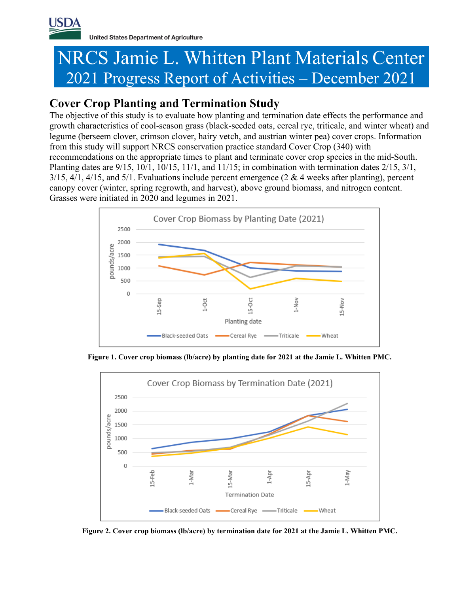

**United States Department of Agriculture** 

# NRCS Jamie L. Whitten Plant Materials Center 2021 Progress Report of Activities – December 2021

# **Cover Crop Planting and Termination Study**

The objective of this study is to evaluate how planting and termination date effects the performance and growth characteristics of cool-season grass (black-seeded oats, cereal rye, triticale, and winter wheat) and legume (berseem clover, crimson clover, hairy vetch, and austrian winter pea) cover crops. Information from this study will support NRCS conservation practice standard Cover Crop (340) with recommendations on the appropriate times to plant and terminate cover crop species in the mid-South. Planting dates are 9/15, 10/1, 10/15, 11/1, and 11/15; in combination with termination dates 2/15, 3/1,  $3/15$ ,  $4/1$ ,  $4/15$ , and  $5/1$ . Evaluations include percent emergence (2 & 4 weeks after planting), percent canopy cover (winter, spring regrowth, and harvest), above ground biomass, and nitrogen content. Grasses were initiated in 2020 and legumes in 2021.



**Figure 1. Cover crop biomass (lb/acre) by planting date for 2021 at the Jamie L. Whitten PMC.**



**Figure 2. Cover crop biomass (lb/acre) by termination date for 2021 at the Jamie L. Whitten PMC.**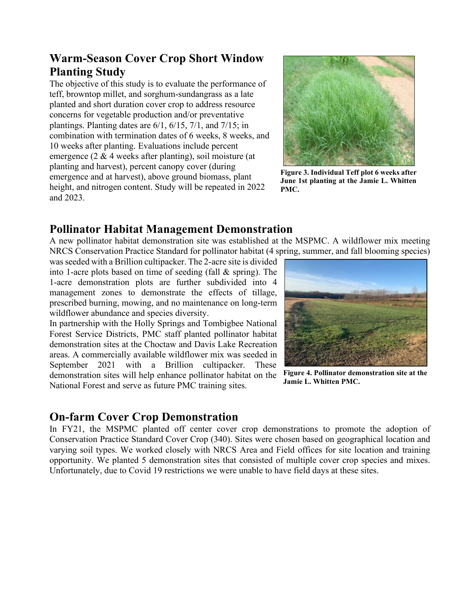# **Warm-Season Cover Crop Short Window Planting Study**

The objective of this study is to evaluate the performance of teff, browntop millet, and sorghum-sundangrass as a late planted and short duration cover crop to address resource concerns for vegetable production and/or preventative plantings. Planting dates are 6/1, 6/15, 7/1, and 7/15; in combination with termination dates of 6 weeks, 8 weeks, and 10 weeks after planting. Evaluations include percent emergence (2 & 4 weeks after planting), soil moisture (at planting and harvest), percent canopy cover (during emergence and at harvest), above ground biomass, plant height, and nitrogen content. Study will be repeated in 2022 and 2023.



**Figure 3. Individual Teff plot 6 weeks after June 1st planting at the Jamie L. Whitten PMC.**

## **Pollinator Habitat Management Demonstration**

A new pollinator habitat demonstration site was established at the MSPMC. A wildflower mix meeting NRCS Conservation Practice Standard for pollinator habitat (4 spring, summer, and fall blooming species)

was seeded with a Brillion cultipacker. The 2-acre site is divided into 1-acre plots based on time of seeding (fall & spring). The 1-acre demonstration plots are further subdivided into 4 management zones to demonstrate the effects of tillage, prescribed burning, mowing, and no maintenance on long-term wildflower abundance and species diversity.

In partnership with the Holly Springs and Tombigbee National Forest Service Districts, PMC staff planted pollinator habitat demonstration sites at the Choctaw and Davis Lake Recreation areas. A commercially available wildflower mix was seeded in September 2021 with a Brillion cultipacker. These demonstration sites will help enhance pollinator habitat on the National Forest and serve as future PMC training sites.



**Figure 4. Pollinator demonstration site at the Jamie L. Whitten PMC.**

## **On-farm Cover Crop Demonstration**

In FY21, the MSPMC planted off center cover crop demonstrations to promote the adoption of Conservation Practice Standard Cover Crop (340). Sites were chosen based on geographical location and varying soil types. We worked closely with NRCS Area and Field offices for site location and training opportunity. We planted 5 demonstration sites that consisted of multiple cover crop species and mixes. Unfortunately, due to Covid 19 restrictions we were unable to have field days at these sites.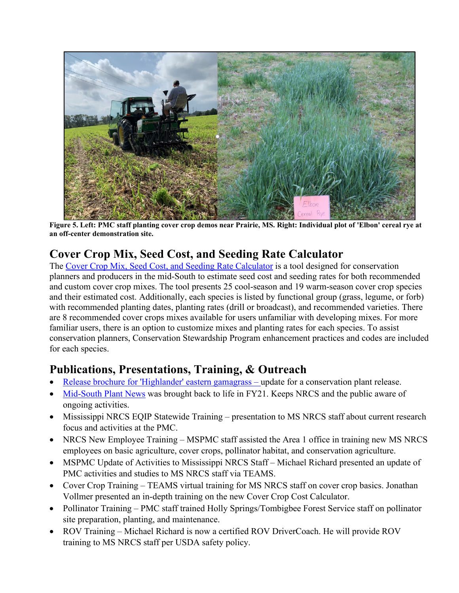

**Figure 5. Left: PMC staff planting cover crop demos near Prairie, MS. Right: Individual plot of 'Elbon' cereal rye at an off-center demonstration site.**

# **Cover Crop Mix, Seed Cost, and Seeding Rate Calculator**

The [Cover Crop Mix, Seed Cost, and Seeding Rate Calculator](https://www.nrcs.usda.gov/Internet/FSE_PLANTMATERIALS/publications/mspmctn13801.pdf) is a tool designed for conservation planners and producers in the mid-South to estimate seed cost and seeding rates for both recommended and custom cover crop mixes. The tool presents 25 cool-season and 19 warm-season cover crop species and their estimated cost. Additionally, each species is listed by functional group (grass, legume, or forb) with recommended planting dates, planting rates (drill or broadcast), and recommended varieties. There are 8 recommended cover crops mixes available for users unfamiliar with developing mixes. For more familiar users, there is an option to customize mixes and planting rates for each species. To assist conservation planners, Conservation Stewardship Program enhancement practices and codes are included for each species.

## **Publications, Presentations, Training, & Outreach**

- [Release brochure for 'Highlander' eastern gamagrass](https://www.nrcs.usda.gov/Internet/FSE_PLANTMATERIALS/publications/mspmcrb13802.pdf) update for a conservation plant release.
- [Mid-South Plant News](https://www.nrcs.usda.gov/Internet/FSE_PLANTMATERIALS/publications/mspmcnl13824.pdf) was brought back to life in FY21. Keeps NRCS and the public aware of ongoing activities.
- Mississippi NRCS EQIP Statewide Training presentation to MS NRCS staff about current research focus and activities at the PMC.
- NRCS New Employee Training MSPMC staff assisted the Area 1 office in training new MS NRCS employees on basic agriculture, cover crops, pollinator habitat, and conservation agriculture.
- MSPMC Update of Activities to Mississippi NRCS Staff Michael Richard presented an update of PMC activities and studies to MS NRCS staff via TEAMS.
- Cover Crop Training TEAMS virtual training for MS NRCS staff on cover crop basics. Jonathan Vollmer presented an in-depth training on the new Cover Crop Cost Calculator.
- Pollinator Training PMC staff trained Holly Springs/Tombigbee Forest Service staff on pollinator site preparation, planting, and maintenance.
- ROV Training Michael Richard is now a certified ROV DriverCoach. He will provide ROV training to MS NRCS staff per USDA safety policy.